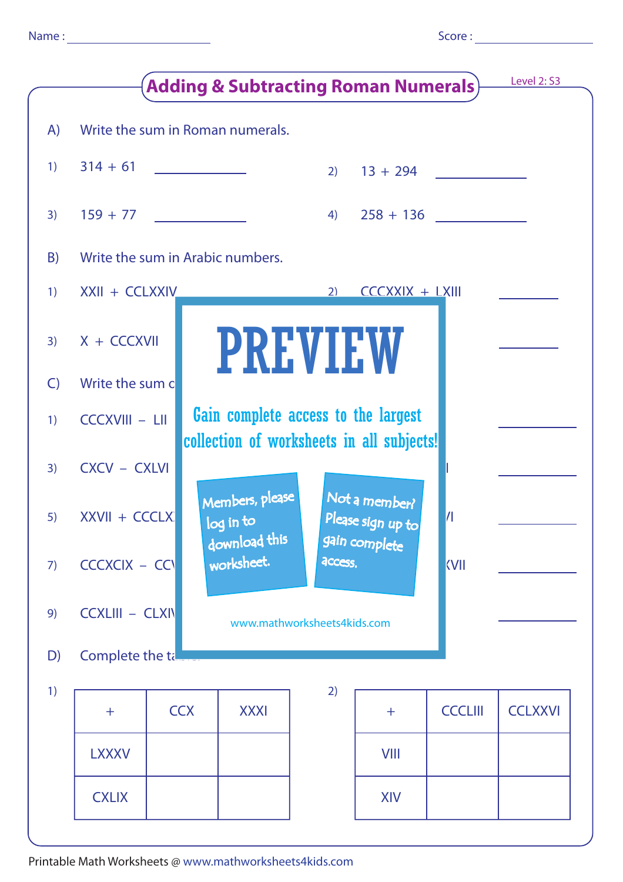|              | <b>Adding &amp; Subtracting Roman Numerals)</b>              |                                                                                                                                                                                                                                      |                                  |         |                                                            |                |                |  |  |  |
|--------------|--------------------------------------------------------------|--------------------------------------------------------------------------------------------------------------------------------------------------------------------------------------------------------------------------------------|----------------------------------|---------|------------------------------------------------------------|----------------|----------------|--|--|--|
| A)           |                                                              |                                                                                                                                                                                                                                      | Write the sum in Roman numerals. |         |                                                            |                |                |  |  |  |
| 1)           | $314 + 61$                                                   | <u> The Community of the Community of the Community of the Community of the Community of the Community of the Community of the Community of the Community of the Community of the Community of the Community of the Community of</u> |                                  |         | $2)$ 13 + 294                                              |                |                |  |  |  |
| 3)           | $159 + 77$                                                   | <u> 1999 - Jan Jawa</u>                                                                                                                                                                                                              |                                  | 4)      | $258 + 136$                                                |                |                |  |  |  |
| B)           | Write the sum in Arabic numbers.                             |                                                                                                                                                                                                                                      |                                  |         |                                                            |                |                |  |  |  |
| 1)           | XXII + CCLXXIV                                               |                                                                                                                                                                                                                                      |                                  | 2)      | $CCEXIX + LXIII$                                           |                |                |  |  |  |
| 3)           | $X + CCXX$                                                   |                                                                                                                                                                                                                                      | <b>PREVIEW</b>                   |         |                                                            |                |                |  |  |  |
| $\mathsf{C}$ | Write the sum c                                              |                                                                                                                                                                                                                                      |                                  |         |                                                            |                |                |  |  |  |
| 1)           | Gain complete access to the largest<br><b>CCCXVIII - LII</b> |                                                                                                                                                                                                                                      |                                  |         |                                                            |                |                |  |  |  |
| 3)           | collection of worksheets in all subjects!<br>CXCV - CXLVI    |                                                                                                                                                                                                                                      |                                  |         |                                                            |                |                |  |  |  |
| 5)           | XXVII + CCCLX                                                |                                                                                                                                                                                                                                      | Members, please<br>log in to     |         | Not a member?<br>Please sign up to<br>$\vert \prime \vert$ |                |                |  |  |  |
| 7)           | $CCCKCIX - CC$                                               |                                                                                                                                                                                                                                      | download this<br>worksheet.      | access. | gain complete                                              | <b>KVII</b>    |                |  |  |  |
| 9)           | <b>CCXLIII - CLXIV</b><br>www.mathworksheets4kids.com        |                                                                                                                                                                                                                                      |                                  |         |                                                            |                |                |  |  |  |
| D)           | Complete the tall                                            |                                                                                                                                                                                                                                      |                                  |         |                                                            |                |                |  |  |  |
| 1)           |                                                              | <b>CCX</b>                                                                                                                                                                                                                           | <b>XXXI</b>                      | 2)      |                                                            | <b>CCCLIII</b> | <b>CCLXXVI</b> |  |  |  |
|              | $\pm$                                                        |                                                                                                                                                                                                                                      |                                  |         | $\pm$                                                      |                |                |  |  |  |
|              | <b>LXXXV</b>                                                 |                                                                                                                                                                                                                                      |                                  |         | <b>VIII</b>                                                |                |                |  |  |  |
|              | <b>CXLIX</b>                                                 |                                                                                                                                                                                                                                      |                                  |         | <b>XIV</b>                                                 |                |                |  |  |  |
|              |                                                              |                                                                                                                                                                                                                                      |                                  |         |                                                            |                |                |  |  |  |

Printable Math Worksheets @ www.mathworksheets4kids.com